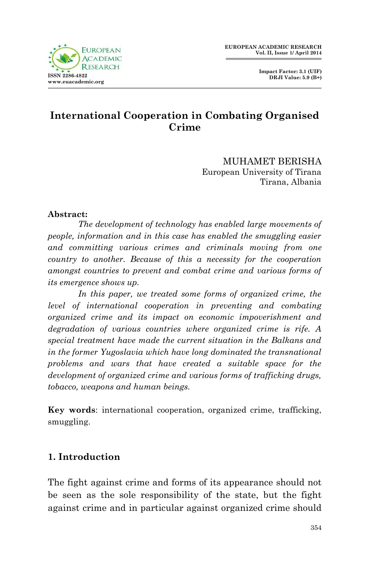**Impact Factor: 3.1 (UIF) DRJI Value: 5.9 (B+)**



## **International Cooperation in Combating Organised Crime**

MUHAMET BERISHA European University of Tirana Tirana, Albania

#### **Abstract:**

*The development of technology has enabled large movements of people, information and in this case has enabled the smuggling easier and committing various crimes and criminals moving from one country to another. Because of this a necessity for the cooperation amongst countries to prevent and combat crime and various forms of its emergence shows up.*

*In this paper, we treated some forms of organized crime, the level of international cooperation in preventing and combating organized crime and its impact on economic impoverishment and degradation of various countries where organized crime is rife. A special treatment have made the current situation in the Balkans and in the former Yugoslavia which have long dominated the transnational problems and wars that have created a suitable space for the development of organized crime and various forms of trafficking drugs, tobacco, weapons and human beings.*

**Key words**: international cooperation, organized crime, trafficking, smuggling.

#### **1. Introduction**

The fight against crime and forms of its appearance should not be seen as the sole responsibility of the state, but the fight against crime and in particular against organized crime should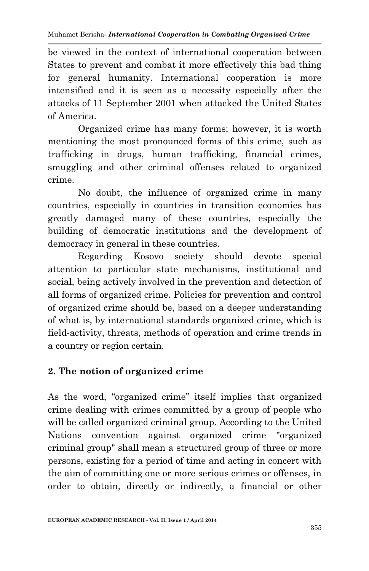be viewed in the context of international cooperation between States to prevent and combat it more effectively this bad thing for general humanity. International cooperation is more intensified and it is seen as a necessity especially after the attacks of 11 September 2001 when attacked the United States of America.

Organized crime has many forms; however, it is worth mentioning the most pronounced forms of this crime, such as trafficking in drugs, human trafficking, financial crimes, smuggling and other criminal offenses related to organized crime.

No doubt, the influence of organized crime in many countries, especially in countries in transition economies has greatly damaged many of these countries, especially the building of democratic institutions and the development of democracy in general in these countries.

Regarding Kosovo society should devote special attention to particular state mechanisms, institutional and social, being actively involved in the prevention and detection of all forms of organized crime. Policies for prevention and control of organized crime should be, based on a deeper understanding of what is, by international standards organized crime, which is field-activity, threats, methods of operation and crime trends in a country or region certain.

### **2. The notion of organized crime**

As the word, "organized crime" itself implies that organized crime dealing with crimes committed by a group of people who will be called organized criminal group. According to the United Nations convention against organized crime "organized criminal group" shall mean a structured group of three or more persons, existing for a period of time and acting in concert with the aim of committing one or more serious crimes or offenses, in order to obtain, directly or indirectly, a financial or other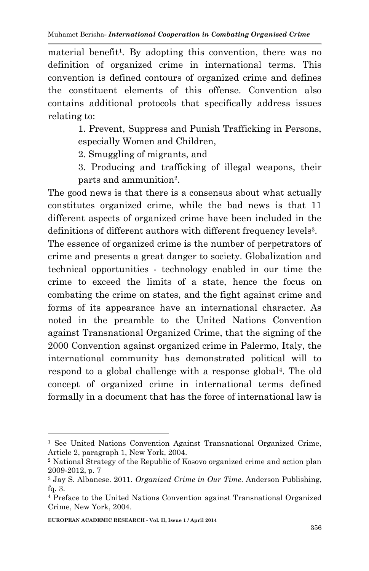material benefit<sup>1</sup>. By adopting this convention, there was no definition of organized crime in international terms. This convention is defined contours of organized crime and defines the constituent elements of this offense. Convention also contains additional protocols that specifically address issues relating to:

> 1. Prevent, Suppress and Punish Trafficking in Persons, especially Women and Children,

2. Smuggling of migrants, and

3. Producing and trafficking of illegal weapons, their parts and ammunition<sup>2</sup>.

The good news is that there is a consensus about what actually constitutes organized crime, while the bad news is that 11 different aspects of organized crime have been included in the definitions of different authors with different frequency levels<sup>3</sup>.

The essence of organized crime is the number of perpetrators of crime and presents a great danger to society. Globalization and technical opportunities - technology enabled in our time the crime to exceed the limits of a state, hence the focus on combating the crime on states, and the fight against crime and forms of its appearance have an international character. As noted in the preamble to the United Nations Convention against Transnational Organized Crime, that the signing of the 2000 Convention against organized crime in Palermo, Italy, the international community has demonstrated political will to respond to a global challenge with a response global<sup>4</sup>. The old concept of organized crime in international terms defined formally in a document that has the force of international law is

<sup>1</sup> See United Nations Convention Against Transnational Organized Crime, Article 2, paragraph 1, New York, 2004.

<sup>2</sup> National Strategy of the Republic of Kosovo organized crime and action plan 2009-2012, p. 7

<sup>3</sup> Jay S. Albanese. 2011. *Organized Crime in Our Time*. Anderson Publishing, fq. 3.

<sup>4</sup> Preface to the United Nations Convention against Transnational Organized Crime, New York, 2004.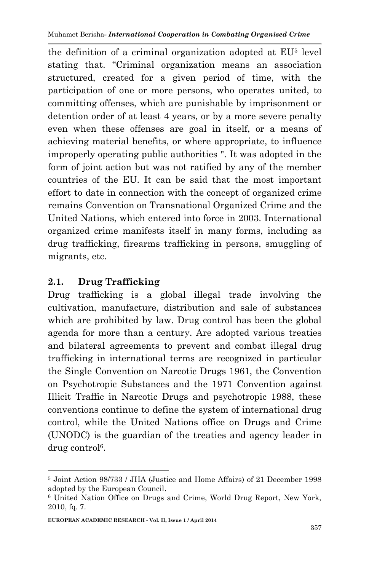the definition of a criminal organization adopted at EU<sup>5</sup> level stating that. "Criminal organization means an association structured, created for a given period of time, with the participation of one or more persons, who operates united, to committing offenses, which are punishable by imprisonment or detention order of at least 4 years, or by a more severe penalty even when these offenses are goal in itself, or a means of achieving material benefits, or where appropriate, to influence improperly operating public authorities ". It was adopted in the form of joint action but was not ratified by any of the member countries of the EU. It can be said that the most important effort to date in connection with the concept of organized crime remains Convention on Transnational Organized Crime and the United Nations, which entered into force in 2003. International organized crime manifests itself in many forms, including as drug trafficking, firearms trafficking in persons, smuggling of migrants, etc.

# **2.1. Drug Trafficking**

**.** 

Drug trafficking is a global illegal trade involving the cultivation, manufacture, distribution and sale of substances which are prohibited by law. Drug control has been the global agenda for more than a century. Are adopted various treaties and bilateral agreements to prevent and combat illegal drug trafficking in international terms are recognized in particular the Single Convention on Narcotic Drugs 1961, the Convention on Psychotropic Substances and the 1971 Convention against Illicit Traffic in Narcotic Drugs and psychotropic 1988, these conventions continue to define the system of international drug control, while the United Nations office on Drugs and Crime (UNODC) is the guardian of the treaties and agency leader in drug control<sup>6</sup>.

<sup>5</sup> Joint Action 98/733 / JHA (Justice and Home Affairs) of 21 December 1998 adopted by the European Council.

<sup>6</sup> United Nation Office on Drugs and Crime, World Drug Report, New York, 2010, fq. 7.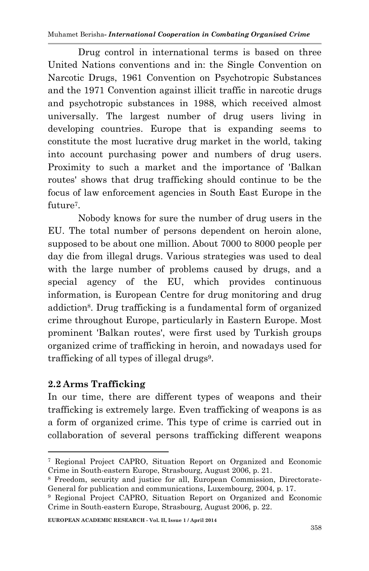Muhamet Berisha*- International Cooperation in Combating Organised Crime*

Drug control in international terms is based on three United Nations conventions and in: the Single Convention on Narcotic Drugs, 1961 Convention on Psychotropic Substances and the 1971 Convention against illicit traffic in narcotic drugs and psychotropic substances in 1988, which received almost universally. The largest number of drug users living in developing countries. Europe that is expanding seems to constitute the most lucrative drug market in the world, taking into account purchasing power and numbers of drug users. Proximity to such a market and the importance of 'Balkan routes' shows that drug trafficking should continue to be the focus of law enforcement agencies in South East Europe in the future<sup>7</sup> .

Nobody knows for sure the number of drug users in the EU. The total number of persons dependent on heroin alone, supposed to be about one million. About 7000 to 8000 people per day die from illegal drugs. Various strategies was used to deal with the large number of problems caused by drugs, and a special agency of the EU, which provides continuous information, is European Centre for drug monitoring and drug addiction<sup>8</sup>. Drug trafficking is a fundamental form of organized crime throughout Europe, particularly in Eastern Europe. Most prominent 'Balkan routes', were first used by Turkish groups organized crime of trafficking in heroin, and nowadays used for trafficking of all types of illegal drugs<sup>9</sup>.

### **2.2 Arms Trafficking**

**.** 

In our time, there are different types of weapons and their trafficking is extremely large. Even trafficking of weapons is as a form of organized crime. This type of crime is carried out in collaboration of several persons trafficking different weapons

<sup>7</sup> Regional Project CAPRO, Situation Report on Organized and Economic Crime in South-eastern Europe, Strasbourg, August 2006, p. 21.

<sup>8</sup> Freedom, security and justice for all, European Commission, Directorate-General for publication and communications, Luxembourg, 2004, p. 17.

<sup>9</sup> Regional Project CAPRO, Situation Report on Organized and Economic Crime in South-eastern Europe, Strasbourg, August 2006, p. 22.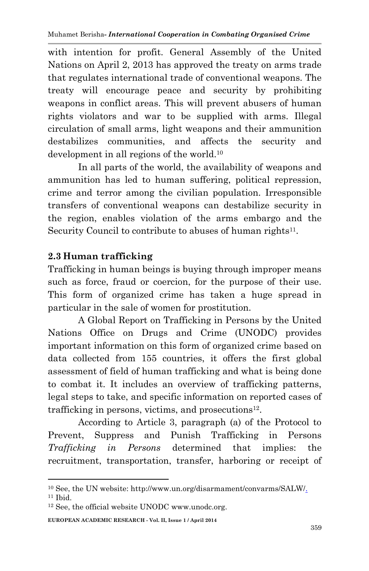with intention for profit. General Assembly of the United Nations on April 2, 2013 has approved the treaty on arms trade that regulates international trade of conventional weapons. The treaty will encourage peace and security by prohibiting weapons in conflict areas. This will prevent abusers of human rights violators and war to be supplied with arms. Illegal circulation of small arms, light weapons and their ammunition destabilizes communities, and affects the security and development in all regions of the world.<sup>10</sup>

In all parts of the world, the availability of weapons and ammunition has led to human suffering, political repression, crime and terror among the civilian population. Irresponsible transfers of conventional weapons can destabilize security in the region, enables violation of the arms embargo and the Security Council to contribute to abuses of human rights<sup>11</sup>.

## **2.3 Human trafficking**

Trafficking in human beings is buying through improper means such as force, fraud or coercion, for the purpose of their use. This form of organized crime has taken a huge spread in particular in the sale of women for prostitution.

A Global Report on Trafficking in Persons by the United Nations Office on Drugs and Crime (UNODC) provides important information on this form of organized crime based on data collected from 155 countries, it offers the first global assessment of field of human trafficking and what is being done to combat it. It includes an overview of trafficking patterns, legal steps to take, and specific information on reported cases of trafficking in persons, victims, and prosecutions<sup>12</sup>.

According to Article 3, paragraph (a) of the Protocol to Prevent, Suppress and Punish Trafficking in Persons *Trafficking in Persons* determined that implies: the recruitment, transportation, transfer, harboring or receipt of

**EUROPEAN ACADEMIC RESEARCH - Vol. II, Issue 1 / April 2014**

<sup>1</sup> <sup>10</sup> See, the UN website: http://www.un.org/disarmament/convarms/SALW/.

 $11$  Ibid.

<sup>12</sup> See, the official website UNODC www.unodc.org.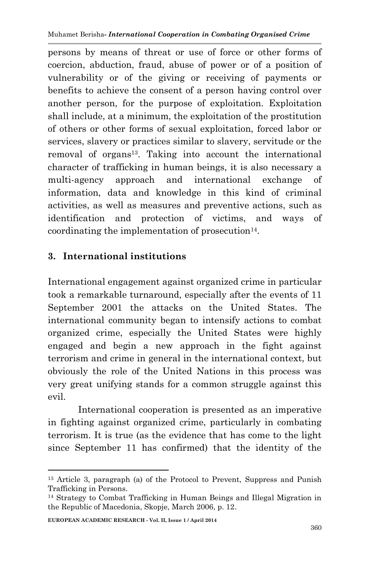persons by means of threat or use of force or other forms of coercion, abduction, fraud, abuse of power or of a position of vulnerability or of the giving or receiving of payments or benefits to achieve the consent of a person having control over another person, for the purpose of exploitation. Exploitation shall include, at a minimum, the exploitation of the prostitution of others or other forms of sexual exploitation, forced labor or services, slavery or practices similar to slavery, servitude or the removal of organs13. Taking into account the international character of trafficking in human beings, it is also necessary a multi-agency approach and international exchange of information, data and knowledge in this kind of criminal activities, as well as measures and preventive actions, such as identification and protection of victims, and ways of coordinating the implementation of prosecution<sup>14</sup>.

## **3. International institutions**

International engagement against organized crime in particular took a remarkable turnaround, especially after the events of 11 September 2001 the attacks on the United States. The international community began to intensify actions to combat organized crime, especially the United States were highly engaged and begin a new approach in the fight against terrorism and crime in general in the international context, but obviously the role of the United Nations in this process was very great unifying stands for a common struggle against this evil.

International cooperation is presented as an imperative in fighting against organized crime, particularly in combating terrorism. It is true (as the evidence that has come to the light since September 11 has confirmed) that the identity of the

<sup>13</sup> Article 3, paragraph (a) of the Protocol to Prevent, Suppress and Punish Trafficking in Persons.

<sup>14</sup> Strategy to Combat Trafficking in Human Beings and Illegal Migration in the Republic of Macedonia, Skopje, March 2006, p. 12.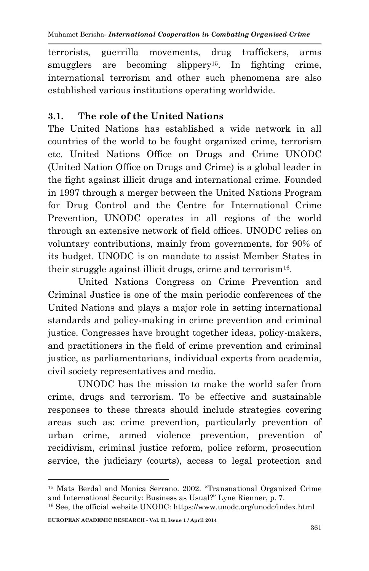terrorists, guerrilla movements, drug traffickers, arms smugglers are becoming slippery<sup>15</sup>. In fighting crime, international terrorism and other such phenomena are also established various institutions operating worldwide.

### **3.1. The role of the United Nations**

The United Nations has established a wide network in all countries of the world to be fought organized crime, terrorism etc. United Nations Office on Drugs and Crime UNODC (United Nation Office on Drugs and Crime) is a global leader in the fight against illicit drugs and international crime. Founded in 1997 through a merger between the United Nations Program for Drug Control and the Centre for International Crime Prevention, UNODC operates in all regions of the world through an extensive network of field offices. UNODC relies on voluntary contributions, mainly from governments, for 90% of its budget. UNODC is on mandate to assist Member States in their struggle against illicit drugs, crime and terrorism<sup>16</sup>.

United Nations Congress on Crime Prevention and Criminal Justice is one of the main periodic conferences of the United Nations and plays a major role in setting international standards and policy-making in crime prevention and criminal justice. Congresses have brought together ideas, policy-makers, and practitioners in the field of crime prevention and criminal justice, as parliamentarians, individual experts from academia, civil society representatives and media.

UNODC has the mission to make the world safer from crime, drugs and terrorism. To be effective and sustainable responses to these threats should include strategies covering areas such as: crime prevention, particularly prevention of urban crime, armed violence prevention, prevention of recidivism, criminal justice reform, police reform, prosecution service, the judiciary (courts), access to legal protection and

<sup>15</sup> Mats Berdal and Monica Serrano. 2002. "Transnational Organized Crime and International Security: Business as Usual?" Lyne Rienner, p. 7.

<sup>16</sup> See, the official website UNODC: https://www.unodc.org/unodc/index.html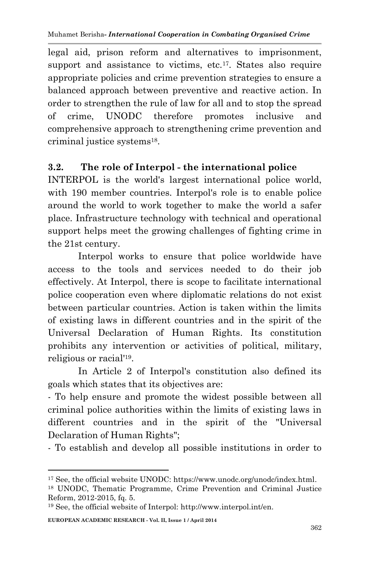legal aid, prison reform and alternatives to imprisonment, support and assistance to victims, etc.<sup>17</sup>. States also require appropriate policies and crime prevention strategies to ensure a balanced approach between preventive and reactive action. In order to strengthen the rule of law for all and to stop the spread of crime, UNODC therefore promotes inclusive and comprehensive approach to strengthening crime prevention and criminal justice systems<sup>18</sup>.

### **3.2. The role of Interpol - the international police**

INTERPOL is the world's largest international police world, with 190 member countries. Interpol's role is to enable police around the world to work together to make the world a safer place. Infrastructure technology with technical and operational support helps meet the growing challenges of fighting crime in the 21st century.

Interpol works to ensure that police worldwide have access to the tools and services needed to do their job effectively. At Interpol, there is scope to facilitate international police cooperation even where diplomatic relations do not exist between particular countries. Action is taken within the limits of existing laws in different countries and in the spirit of the Universal Declaration of Human Rights. Its constitution prohibits any intervention or activities of political, military, religious or racial'<sup>19</sup> .

In Article 2 of Interpol's constitution also defined its goals which states that its objectives are:

- To help ensure and promote the widest possible between all criminal police authorities within the limits of existing laws in different countries and in the spirit of the "Universal Declaration of Human Rights";

- To establish and develop all possible institutions in order to

<sup>17</sup> See, the official website UNODC: https://www.unodc.org/unodc/index.html.

<sup>18</sup> UNODC, Thematic Programme, Crime Prevention and Criminal Justice Reform, 2012-2015, fq. 5.

<sup>19</sup> See, the official website of Interpol: http://www.interpol.int/en.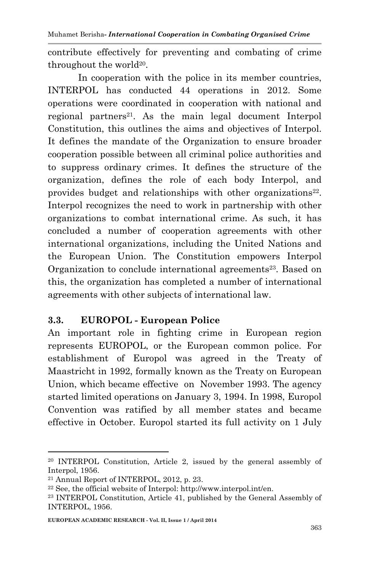contribute effectively for preventing and combating of crime throughout the world<sup>20</sup>.

In cooperation with the police in its member countries, INTERPOL has conducted 44 operations in 2012. Some operations were coordinated in cooperation with national and regional partners<sup>21</sup>. As the main legal document Interpol Constitution, this outlines the aims and objectives of Interpol. It defines the mandate of the Organization to ensure broader cooperation possible between all criminal police authorities and to suppress ordinary crimes. It defines the structure of the organization, defines the role of each body Interpol, and provides budget and relationships with other organizations<sup>22</sup>. Interpol recognizes the need to work in partnership with other organizations to combat international crime. As such, it has concluded a number of cooperation agreements with other international organizations, including the United Nations and the European Union. The Constitution empowers Interpol Organization to conclude international agreements<sup>23</sup>. Based on this, the organization has completed a number of international agreements with other subjects of international law.

### **3.3. EUROPOL - European Police**

An important role in fighting crime in European region represents EUROPOL, or the European common police. For establishment of Europol was agreed in the Treaty of Maastricht in 1992, formally known as the Treaty on European Union, which became effective on November 1993. The agency started limited operations on January 3, 1994. In 1998, Europol Convention was ratified by all member states and became effective in October. Europol started its full activity on 1 July

<sup>20</sup> INTERPOL Constitution, Article 2, issued by the general assembly of Interpol, 1956.

<sup>21</sup> Annual Report of INTERPOL, 2012, p. 23.

 $22$  See, the official website of Interpol: http://www.interpol.int/en.

<sup>23</sup> INTERPOL Constitution, Article 41, published by the General Assembly of INTERPOL, 1956.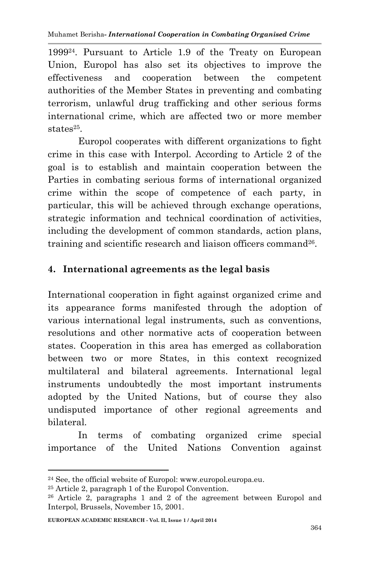199924. Pursuant to Article 1.9 of the Treaty on European Union, Europol has also set its objectives to improve the effectiveness and cooperation between the competent authorities of the Member States in preventing and combating terrorism, unlawful drug trafficking and other serious forms international crime, which are affected two or more member states<sup>25</sup>.

Europol cooperates with different organizations to fight crime in this case with Interpol. According to Article 2 of the goal is to establish and maintain cooperation between the Parties in combating serious forms of international organized crime within the scope of competence of each party, in particular, this will be achieved through exchange operations, strategic information and technical coordination of activities, including the development of common standards, action plans, training and scientific research and liaison officers command<sup>26</sup>.

## **4. International agreements as the legal basis**

International cooperation in fight against organized crime and its appearance forms manifested through the adoption of various international legal instruments, such as conventions, resolutions and other normative acts of cooperation between states. Cooperation in this area has emerged as collaboration between two or more States, in this context recognized multilateral and bilateral agreements. International legal instruments undoubtedly the most important instruments adopted by the United Nations, but of course they also undisputed importance of other regional agreements and bilateral.

In terms of combating organized crime special importance of the United Nations Convention against

<sup>24</sup> See, the official website of Europol: www.europol.europa.eu.

<sup>25</sup> Article 2, paragraph 1 of the Europol Convention.

<sup>26</sup> Article 2, paragraphs 1 and 2 of the agreement between Europol and Interpol, Brussels, November 15, 2001.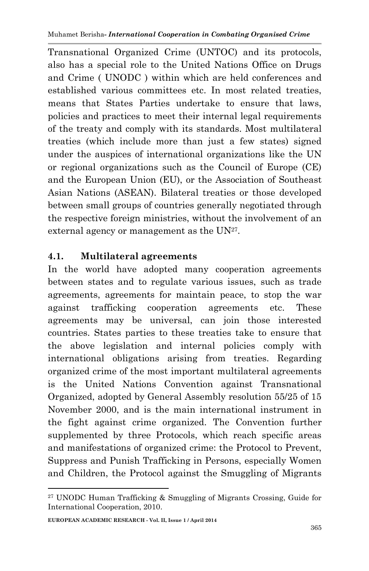Transnational Organized Crime (UNTOC) and its protocols, also has a special role to the United Nations Office on Drugs and Crime ( UNODC ) within which are held conferences and established various committees etc. In most related treaties, means that States Parties undertake to ensure that laws, policies and practices to meet their internal legal requirements of the treaty and comply with its standards. Most multilateral treaties (which include more than just a few states) signed under the auspices of international organizations like the UN or regional organizations such as the Council of Europe (CE) and the European Union (EU), or the Association of Southeast Asian Nations (ASEAN). Bilateral treaties or those developed between small groups of countries generally negotiated through the respective foreign ministries, without the involvement of an external agency or management as the  $UN^{27}$ .

### **4.1. Multilateral agreements**

In the world have adopted many cooperation agreements between states and to regulate various issues, such as trade agreements, agreements for maintain peace, to stop the war against trafficking cooperation agreements etc. These agreements may be universal, can join those interested countries. States parties to these treaties take to ensure that the above legislation and internal policies comply with international obligations arising from treaties. Regarding organized crime of the most important multilateral agreements is the United Nations Convention against Transnational Organized, adopted by General Assembly resolution 55/25 of 15 November 2000, and is the main international instrument in the fight against crime organized. The Convention further supplemented by three Protocols, which reach specific areas and manifestations of organized crime: the Protocol to Prevent, Suppress and Punish Trafficking in Persons, especially Women and Children, the Protocol against the Smuggling of Migrants

<sup>27</sup> UNODC Human Trafficking & Smuggling of Migrants Crossing, Guide for International Cooperation, 2010.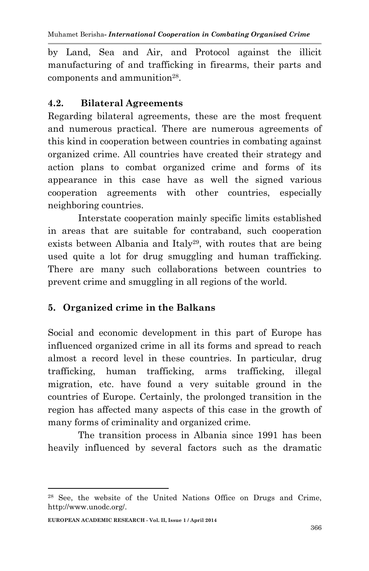by Land, Sea and Air, and Protocol against the illicit manufacturing of and trafficking in firearms, their parts and components and ammunition<sup>28</sup>.

### **4.2. Bilateral Agreements**

Regarding bilateral agreements, these are the most frequent and numerous practical. There are numerous agreements of this kind in cooperation between countries in combating against organized crime. All countries have created their strategy and action plans to combat organized crime and forms of its appearance in this case have as well the signed various cooperation agreements with other countries, especially neighboring countries.

Interstate cooperation mainly specific limits established in areas that are suitable for contraband, such cooperation exists between Albania and Italy<sup>29</sup>, with routes that are being used quite a lot for drug smuggling and human trafficking. There are many such collaborations between countries to prevent crime and smuggling in all regions of the world.

### **5. Organized crime in the Balkans**

Social and economic development in this part of Europe has influenced organized crime in all its forms and spread to reach almost a record level in these countries. In particular, drug trafficking, human trafficking, arms trafficking, illegal migration, etc. have found a very suitable ground in the countries of Europe. Certainly, the prolonged transition in the region has affected many aspects of this case in the growth of many forms of criminality and organized crime.

The transition process in Albania since 1991 has been heavily influenced by several factors such as the dramatic

<sup>28</sup> See, the website of the United Nations Office on Drugs and Crime, http://www.unodc.org/.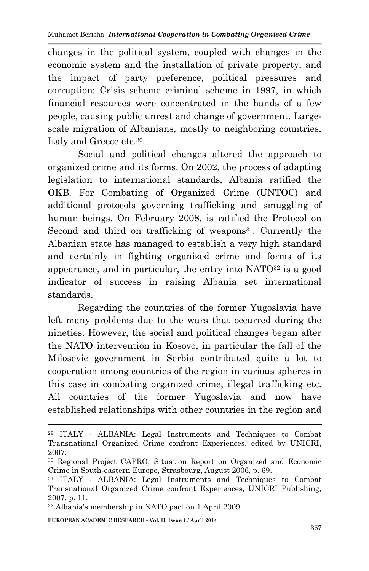changes in the political system, coupled with changes in the economic system and the installation of private property, and the impact of party preference, political pressures and corruption: Crisis scheme criminal scheme in 1997, in which financial resources were concentrated in the hands of a few people, causing public unrest and change of government. Largescale migration of Albanians, mostly to neighboring countries, Italy and Greece etc.<sup>30</sup> .

Social and political changes altered the approach to organized crime and its forms. On 2002, the process of adapting legislation to international standards, Albania ratified the OKB. For Combating of Organized Crime (UNTOC) and additional protocols governing trafficking and smuggling of human beings. On February 2008, is ratified the Protocol on Second and third on trafficking of weapons<sup>31</sup>. Currently the Albanian state has managed to establish a very high standard and certainly in fighting organized crime and forms of its appearance, and in particular, the entry into  $NATO^{32}$  is a good indicator of success in raising Albania set international standards.

Regarding the countries of the former Yugoslavia have left many problems due to the wars that occurred during the nineties. However, the social and political changes began after the NATO intervention in Kosovo, in particular the fall of the Milosevic government in Serbia contributed quite a lot to cooperation among countries of the region in various spheres in this case in combating organized crime, illegal trafficking etc. All countries of the former Yugoslavia and now have established relationships with other countries in the region and

**EUROPEAN ACADEMIC RESEARCH - Vol. II, Issue 1 / April 2014**

<sup>29</sup> ITALY - ALBANIA: Legal Instruments and Techniques to Combat Transnational Organized Crime confront Experiences, edited by UNICRI, 2007.

<sup>30</sup> Regional Project CAPRO, Situation Report on Organized and Economic Crime in South-eastern Europe, Strasbourg, August 2006, p. 69.

<sup>31</sup> ITALY - ALBANIA: Legal Instruments and Techniques to Combat Transnational Organized Crime confront Experiences, UNICRI Publishing, 2007, p. 11.

<sup>32</sup> Albania's membership in NATO pact on 1 April 2009.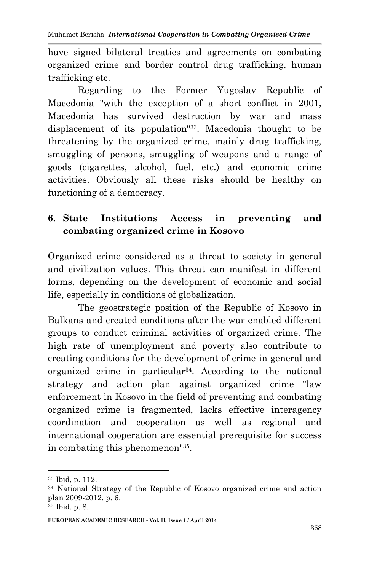have signed bilateral treaties and agreements on combating organized crime and border control drug trafficking, human trafficking etc.

Regarding to the Former Yugoslav Republic of Macedonia "with the exception of a short conflict in 2001, Macedonia has survived destruction by war and mass displacement of its population"33. Macedonia thought to be threatening by the organized crime, mainly drug trafficking, smuggling of persons, smuggling of weapons and a range of goods (cigarettes, alcohol, fuel, etc.) and economic crime activities. Obviously all these risks should be healthy on functioning of a democracy.

# **6. State Institutions Access in preventing and combating organized crime in Kosovo**

Organized crime considered as a threat to society in general and civilization values. This threat can manifest in different forms, depending on the development of economic and social life, especially in conditions of globalization.

The geostrategic position of the Republic of Kosovo in Balkans and created conditions after the war enabled different groups to conduct criminal activities of organized crime. The high rate of unemployment and poverty also contribute to creating conditions for the development of crime in general and organized crime in particular34. According to the national strategy and action plan against organized crime "law enforcement in Kosovo in the field of preventing and combating organized crime is fragmented, lacks effective interagency coordination and cooperation as well as regional and international cooperation are essential prerequisite for success in combating this phenomenon"<sup>35</sup> .

<sup>33</sup> Ibid, p. 112.

<sup>34</sup> National Strategy of the Republic of Kosovo organized crime and action plan 2009-2012, p. 6.

<sup>35</sup> Ibid, p. 8.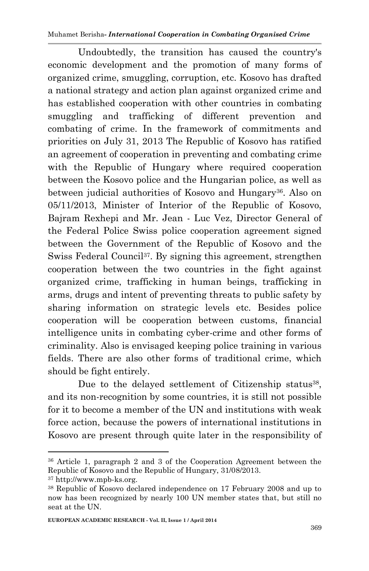Undoubtedly, the transition has caused the country's economic development and the promotion of many forms of organized crime, smuggling, corruption, etc. Kosovo has drafted a national strategy and action plan against organized crime and has established cooperation with other countries in combating smuggling and trafficking of different prevention and combating of crime. In the framework of commitments and priorities on July 31, 2013 The Republic of Kosovo has ratified an agreement of cooperation in preventing and combating crime with the Republic of Hungary where required cooperation between the Kosovo police and the Hungarian police, as well as between judicial authorities of Kosovo and Hungary<sup>36</sup>. Also on 05/11/2013, Minister of Interior of the Republic of Kosovo, Bajram Rexhepi and Mr. Jean - Luc Vez, Director General of the Federal Police Swiss police cooperation agreement signed between the Government of the Republic of Kosovo and the Swiss Federal Council<sup>37</sup>. By signing this agreement, strengthen cooperation between the two countries in the fight against organized crime, trafficking in human beings, trafficking in arms, drugs and intent of preventing threats to public safety by sharing information on strategic levels etc. Besides police cooperation will be cooperation between customs, financial intelligence units in combating cyber-crime and other forms of criminality. Also is envisaged keeping police training in various fields. There are also other forms of traditional crime, which should be fight entirely.

Due to the delayed settlement of Citizenship status<sup>38</sup>, and its non-recognition by some countries, it is still not possible for it to become a member of the UN and institutions with weak force action, because the powers of international institutions in Kosovo are present through quite later in the responsibility of

<sup>36</sup> Article 1, paragraph 2 and 3 of the Cooperation Agreement between the Republic of Kosovo and the Republic of Hungary, 31/08/2013.

<sup>37</sup> http://www.mpb-ks.org.

<sup>38</sup> Republic of Kosovo declared independence on 17 February 2008 and up to now has been recognized by nearly 100 UN member states that, but still no seat at the UN.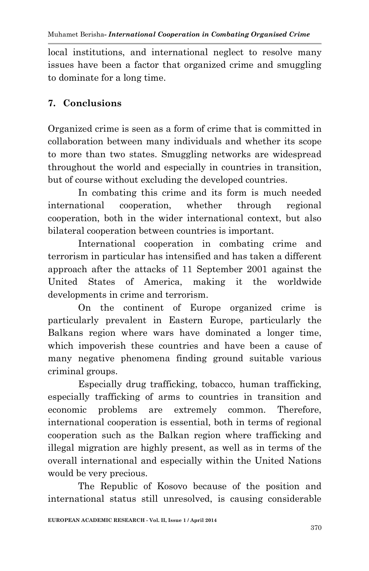local institutions, and international neglect to resolve many issues have been a factor that organized crime and smuggling to dominate for a long time.

### **7. Conclusions**

Organized crime is seen as a form of crime that is committed in collaboration between many individuals and whether its scope to more than two states. Smuggling networks are widespread throughout the world and especially in countries in transition, but of course without excluding the developed countries.

In combating this crime and its form is much needed international cooperation, whether through regional cooperation, both in the wider international context, but also bilateral cooperation between countries is important.

International cooperation in combating crime and terrorism in particular has intensified and has taken a different approach after the attacks of 11 September 2001 against the United States of America, making it the worldwide developments in crime and terrorism.

On the continent of Europe organized crime is particularly prevalent in Eastern Europe, particularly the Balkans region where wars have dominated a longer time, which impoverish these countries and have been a cause of many negative phenomena finding ground suitable various criminal groups.

Especially drug trafficking, tobacco, human trafficking, especially trafficking of arms to countries in transition and economic problems are extremely common. Therefore, international cooperation is essential, both in terms of regional cooperation such as the Balkan region where trafficking and illegal migration are highly present, as well as in terms of the overall international and especially within the United Nations would be very precious.

The Republic of Kosovo because of the position and international status still unresolved, is causing considerable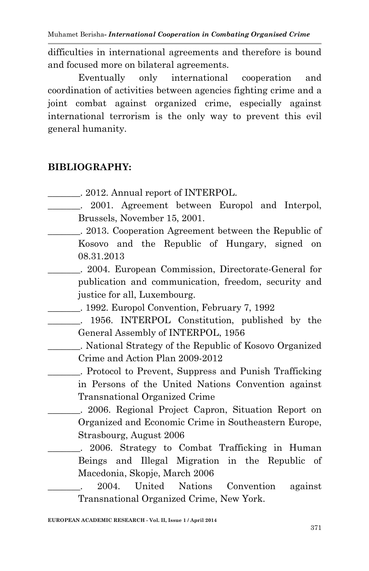difficulties in international agreements and therefore is bound and focused more on bilateral agreements.

Eventually only international cooperation and coordination of activities between agencies fighting crime and a joint combat against organized crime, especially against international terrorism is the only way to prevent this evil general humanity.

#### **BIBLIOGRAPHY:**

- \_\_\_\_\_\_\_. 2012. Annual report of INTERPOL.
- . 2001. Agreement between Europol and Interpol, Brussels, November 15, 2001.
- \_\_\_\_\_\_\_. 2013. Cooperation Agreement between the Republic of Kosovo and the Republic of Hungary, signed on 08.31.2013
	- \_\_\_\_\_\_\_. 2004. European Commission, Directorate-General for publication and communication, freedom, security and justice for all, Luxembourg.
- \_\_\_\_\_\_\_. 1992. Europol Convention, February 7, 1992
	- \_\_\_\_\_\_\_. 1956. INTERPOL Constitution, published by the General Assembly of INTERPOL, 1956
		- \_\_\_\_\_\_\_. National Strategy of the Republic of Kosovo Organized Crime and Action Plan 2009-2012

\_\_\_\_\_\_\_. Protocol to Prevent, Suppress and Punish Trafficking in Persons of the United Nations Convention against Transnational Organized Crime

\_\_\_\_\_\_\_. 2006. Regional Project Capron, Situation Report on Organized and Economic Crime in Southeastern Europe, Strasbourg, August 2006

. 2006. Strategy to Combat Trafficking in Human Beings and Illegal Migration in the Republic of Macedonia, Skopje, March 2006

\_\_\_\_\_\_\_. 2004. United Nations Convention against Transnational Organized Crime, New York.